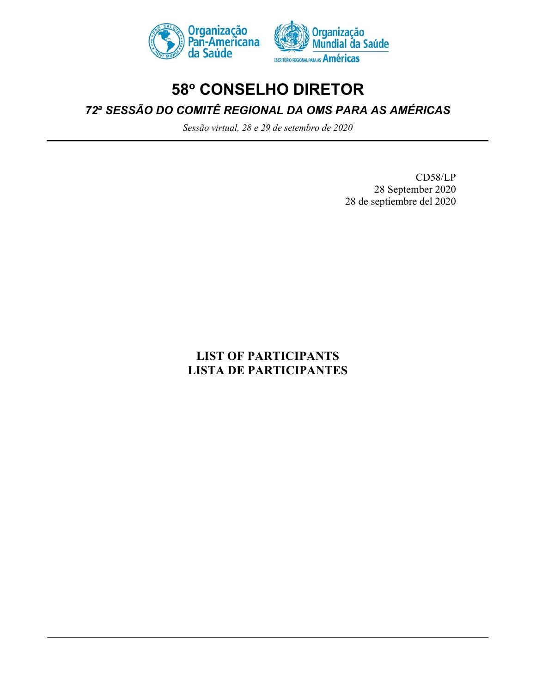



# **58o CONSELHO DIRETOR**

*72a SESSÃO DO COMITÊ REGIONAL DA OMS PARA AS AMÉRICAS*

*Sessão virtual, 28 e 29 de setembro de 2020*

CD58/LP 28 September 2020 28 de septiembre del 2020

# **LIST OF PARTICIPANTS LISTA DE PARTICIPANTES**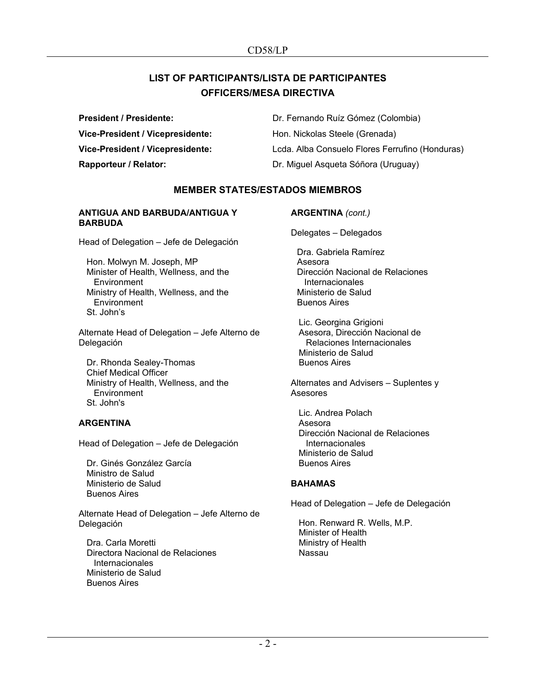# **LIST OF PARTICIPANTS/LISTA DE PARTICIPANTES OFFICERS/MESA DIRECTIVA**

**President / Presidente:** Dr. Fernando Ruíz Gómez (Colombia) **Vice-President / Vicepresidente:** Hon. Nickolas Steele (Grenada) **Vice-President / Vicepresidente:** Lcda. Alba Consuelo Flores Ferrufino (Honduras) **Rapporteur / Relator: Capporteur / Relator: Dr. Miguel Asqueta Sóñora (Uruguay)** 

# **MEMBER STATES/ESTADOS MIEMBROS**

#### **ANTIGUA AND BARBUDA/ANTIGUA Y BARBUDA**

Head of Delegation – Jefe de Delegación

Hon. Molwyn M. Joseph, MP Minister of Health, Wellness, and the **Environment** Ministry of Health, Wellness, and the **Environment** St. John's

Alternate Head of Delegation – Jefe Alterno de Delegación

Dr. Rhonda Sealey-Thomas Chief Medical Officer Ministry of Health, Wellness, and the **Environment** St. John's

# **ARGENTINA**

Head of Delegation – Jefe de Delegación

Dr. Ginés González García Ministro de Salud Ministerio de Salud Buenos Aires

Alternate Head of Delegation – Jefe Alterno de Delegación

Dra. Carla Moretti Directora Nacional de Relaciones Internacionales Ministerio de Salud Buenos Aires

**ARGENTINA** *(cont.)*

Delegates – Delegados

Dra. Gabriela Ramírez Asesora Dirección Nacional de Relaciones Internacionales Ministerio de Salud Buenos Aires

Lic. Georgina Grigioni Asesora, Dirección Nacional de Relaciones Internacionales Ministerio de Salud Buenos Aires

Alternates and Advisers – Suplentes y Asesores

Lic. Andrea Polach Asesora Dirección Nacional de Relaciones **Internacionales** Ministerio de Salud Buenos Aires

# **BAHAMAS**

Head of Delegation – Jefe de Delegación

Hon. Renward R. Wells, M.P. Minister of Health Ministry of Health Nassau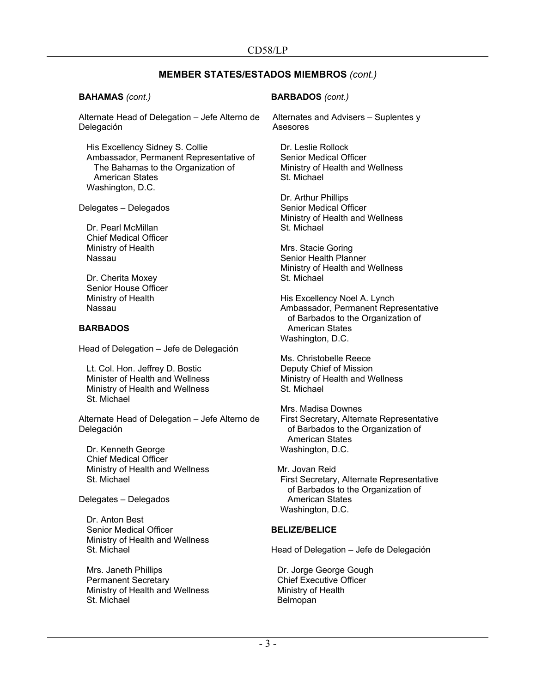#### **BAHAMAS** *(cont.)*

Alternate Head of Delegation – Jefe Alterno de Delegación

His Excellency Sidney S. Collie Ambassador, Permanent Representative of The Bahamas to the Organization of American States Washington, D.C.

Delegates – Delegados

Dr. Pearl McMillan Chief Medical Officer Ministry of Health Nassau

Dr. Cherita Moxey Senior House Officer Ministry of Health Nassau

#### **BARBADOS**

Head of Delegation – Jefe de Delegación

Lt. Col. Hon. Jeffrey D. Bostic Minister of Health and Wellness Ministry of Health and Wellness St. Michael

Alternate Head of Delegation – Jefe Alterno de Delegación

Dr. Kenneth George Chief Medical Officer Ministry of Health and Wellness St. Michael

Delegates – Delegados

Dr. Anton Best Senior Medical Officer Ministry of Health and Wellness St. Michael

Mrs. Janeth Phillips Permanent Secretary Ministry of Health and Wellness St. Michael

## **BARBADOS** *(cont.)*

Alternates and Advisers – Suplentes y Asesores

Dr. Leslie Rollock Senior Medical Officer Ministry of Health and Wellness St. Michael

Dr. Arthur Phillips Senior Medical Officer Ministry of Health and Wellness St. Michael

Mrs. Stacie Goring Senior Health Planner Ministry of Health and Wellness St. Michael

His Excellency Noel A. Lynch Ambassador, Permanent Representative of Barbados to the Organization of American States Washington, D.C.

Ms. Christobelle Reece Deputy Chief of Mission Ministry of Health and Wellness St. Michael

Mrs. Madisa Downes First Secretary, Alternate Representative of Barbados to the Organization of American States Washington, D.C.

Mr. Jovan Reid First Secretary, Alternate Representative of Barbados to the Organization of American States Washington, D.C.

# **BELIZE/BELICE**

Head of Delegation – Jefe de Delegación

Dr. Jorge George Gough Chief Executive Officer Ministry of Health Belmopan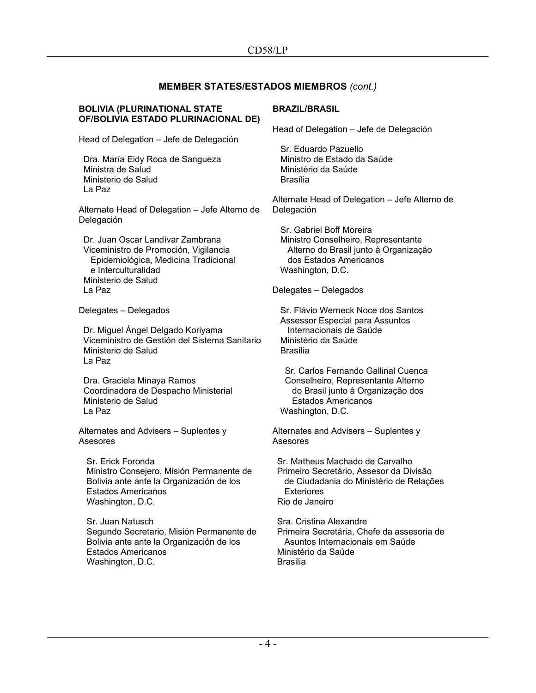#### **BOLIVIA (PLURINATIONAL STATE OF/BOLIVIA ESTADO PLURINACIONAL DE)**

Head of Delegation – Jefe de Delegación

Dra. María Eidy Roca de Sangueza Ministra de Salud Ministerio de Salud La Paz

Alternate Head of Delegation – Jefe Alterno de Delegación

Dr. Juan Oscar Landívar Zambrana Viceministro de Promoción, Vigilancia Epidemiológica, Medicina Tradicional e Interculturalidad Ministerio de Salud La Paz

Delegates – Delegados

Dr. Miguel Ángel Delgado Koriyama Viceministro de Gestión del Sistema Sanitario Ministerio de Salud La Paz

Dra. Graciela Minaya Ramos Coordinadora de Despacho Ministerial Ministerio de Salud La Paz

Alternates and Advisers – Suplentes y Asesores

Sr. Erick Foronda Ministro Consejero, Misión Permanente de Bolivia ante ante la Organización de los Estados Americanos Washington, D.C.

Sr. Juan Natusch Segundo Secretario, Misión Permanente de Bolivia ante ante la Organización de los Estados Americanos Washington, D.C.

# **BRAZIL/BRASIL**

Head of Delegation – Jefe de Delegación

Sr. Eduardo Pazuello Ministro de Estado da Saúde Ministério da Saúde Brasília

Alternate Head of Delegation – Jefe Alterno de Delegación

Sr. Gabriel Boff Moreira Ministro Conselheiro, Representante Alterno do Brasil junto à Organização dos Estados Americanos Washington, D.C.

Delegates – Delegados

Sr. Flávio Werneck Noce dos Santos Assessor Especial para Assuntos Internacionais de Saúde Ministério da Saúde Brasília

Sr. Carlos Fernando Gallinal Cuenca Conselheiro, Representante Alterno do Brasil junto à Organização dos Estados Americanos Washington, D.C.

Alternates and Advisers – Suplentes y Asesores

Sr. Matheus Machado de Carvalho Primeiro Secretário, Assesor da Divisão de Ciudadania do Ministério de Relações Exteriores Rio de Janeiro

Sra. Cristina Alexandre Primeira Secretária, Chefe da assesoria de Asuntos Internacionais em Saúde Ministério da Saúde Brasilia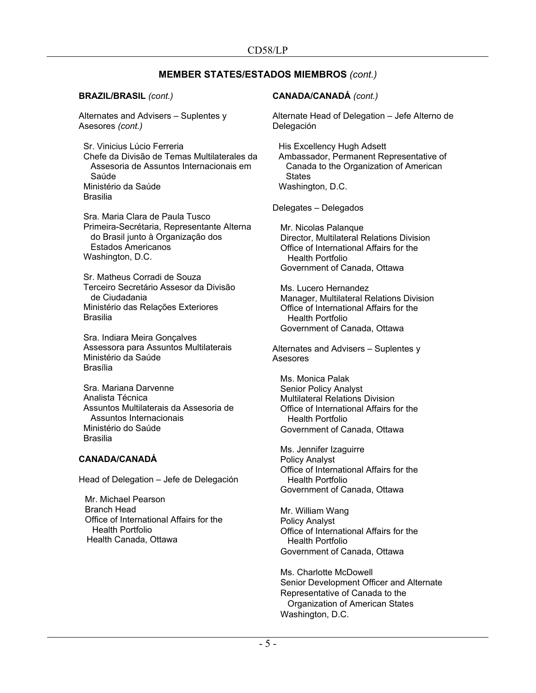**BRAZIL/BRASIL** *(cont.)*

Alternates and Advisers – Suplentes y Asesores *(cont.)*

Sr. Vinicius Lúcio Ferreria Chefe da Divisão de Temas Multilaterales da Assesoria de Assuntos Internacionais em Saúde Ministério da Saúde Brasilia

Sra. Maria Clara de Paula Tusco Primeira-Secrétaria, Representante Alterna do Brasil junto à Organização dos Estados Americanos Washington, D.C.

Sr. Matheus Corradi de Souza Terceiro Secretário Assesor da Divisão de Ciudadania Ministério das Relações Exteriores Brasilia

Sra. Indiara Meira Gonçalves Assessora para Assuntos Multilaterais Ministério da Saúde Brasília

Sra. Mariana Darvenne Analista Técnica Assuntos Multilaterais da Assesoria de Assuntos Internacionais Ministério do Saúde Brasilia

#### **CANADA/CANADÁ**

Head of Delegation – Jefe de Delegación

Mr. Michael Pearson Branch Head Office of International Affairs for the Health Portfolio Health Canada, Ottawa

## **CANADA/CANADÁ** *(cont.)*

Alternate Head of Delegation – Jefe Alterno de Delegación

His Excellency Hugh Adsett Ambassador, Permanent Representative of Canada to the Organization of American **States** Washington, D.C.

Delegates – Delegados

Mr. Nicolas Palanque Director, Multilateral Relations Division Office of International Affairs for the Health Portfolio Government of Canada, Ottawa

Ms. Lucero Hernandez Manager, Multilateral Relations Division Office of International Affairs for the Health Portfolio Government of Canada, Ottawa

Alternates and Advisers – Suplentes y Asesores

Ms. Monica Palak Senior Policy Analyst Multilateral Relations Division Office of International Affairs for the Health Portfolio Government of Canada, Ottawa

Ms. Jennifer Izaguirre Policy Analyst Office of International Affairs for the Health Portfolio Government of Canada, Ottawa

Mr. William Wang Policy Analyst Office of International Affairs for the Health Portfolio Government of Canada, Ottawa

Ms. Charlotte McDowell Senior Development Officer and Alternate Representative of Canada to the Organization of American States Washington, D.C.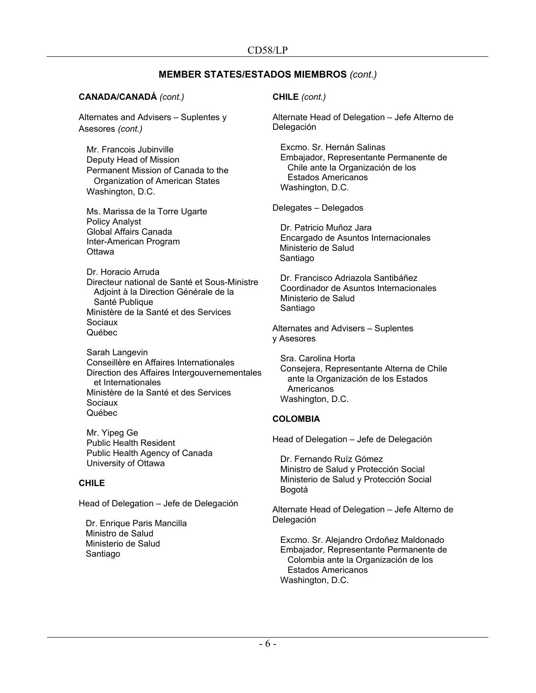## **CANADA/CANADÁ** *(cont.)*

Alternates and Advisers – Suplentes y Asesores *(cont.)*

Mr. Francois Jubinville Deputy Head of Mission Permanent Mission of Canada to the Organization of American States Washington, D.C.

Ms. Marissa de la Torre Ugarte Policy Analyst Global Affairs Canada Inter-American Program **Ottawa** 

Dr. Horacio Arruda Directeur national de Santé et Sous-Ministre Adjoint à la Direction Générale de la Santé Publique Ministère de la Santé et des Services Sociaux Québec

Sarah Langevin Conseillère en Affaires Internationales Direction des Affaires Intergouvernementales et Internationales Ministère de la Santé et des Services Sociaux Québec

Mr. Yipeg Ge Public Health Resident Public Health Agency of Canada University of Ottawa

# **CHILE**

Head of Delegation – Jefe de Delegación

Dr. Enrique Paris Mancilla Ministro de Salud Ministerio de Salud Santiago

## **CHILE** *(cont.)*

Alternate Head of Delegation – Jefe Alterno de Delegación

Excmo. Sr. Hernán Salinas Embajador, Representante Permanente de Chile ante la Organización de los Estados Americanos Washington, D.C.

Delegates – Delegados

Dr. Patricio Muñoz Jara Encargado de Asuntos Internacionales Ministerio de Salud Santiago

Dr. Francisco Adriazola Santibáñez Coordinador de Asuntos Internacionales Ministerio de Salud Santiago

Alternates and Advisers – Suplentes y Asesores

Sra. Carolina Horta Consejera, Representante Alterna de Chile ante la Organización de los Estados **Americanos** Washington, D.C.

# **COLOMBIA**

Head of Delegation – Jefe de Delegación

Dr. Fernando Ruíz Gómez Ministro de Salud y Protección Social Ministerio de Salud y Protección Social Bogotá

Alternate Head of Delegation – Jefe Alterno de Delegación

Excmo. Sr. Alejandro Ordoñez Maldonado Embajador, Representante Permanente de Colombia ante la Organización de los Estados Americanos Washington, D.C.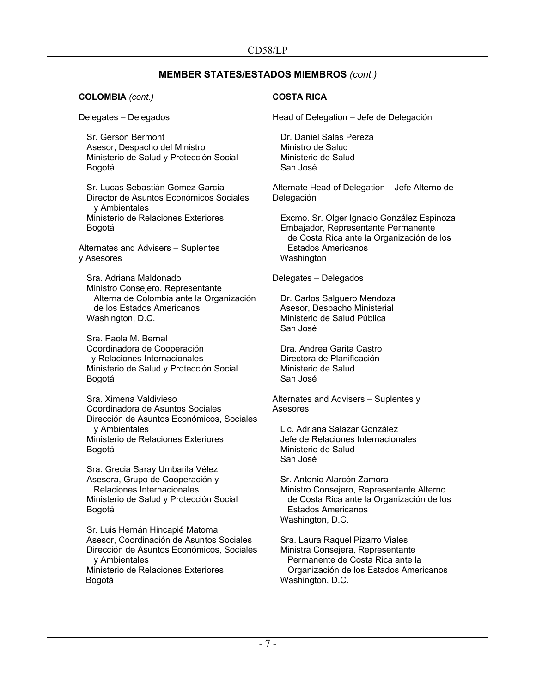**COLOMBIA** *(cont.)*

Delegates – Delegados

Sr. Gerson Bermont Asesor, Despacho del Ministro Ministerio de Salud y Protección Social Bogotá

Sr. Lucas Sebastián Gómez García Director de Asuntos Económicos Sociales y Ambientales Ministerio de Relaciones Exteriores Bogotá

Alternates and Advisers – Suplentes y Asesores

Sra. Adriana Maldonado Ministro Consejero, Representante Alterna de Colombia ante la Organización de los Estados Americanos Washington, D.C.

Sra. Paola M. Bernal Coordinadora de Cooperación y Relaciones Internacionales Ministerio de Salud y Protección Social Bogotá

Sra. Ximena Valdivieso Coordinadora de Asuntos Sociales Dirección de Asuntos Económicos, Sociales y Ambientales Ministerio de Relaciones Exteriores Bogotá

Sra. Grecia Saray Umbarila Vélez Asesora, Grupo de Cooperación y Relaciones Internacionales Ministerio de Salud y Protección Social Bogotá

Sr. Luis Hernán Hincapié Matoma Asesor, Coordinación de Asuntos Sociales Dirección de Asuntos Económicos, Sociales y Ambientales Ministerio de Relaciones Exteriores Bogotá

# **COSTA RICA**

Head of Delegation – Jefe de Delegación

Dr. Daniel Salas Pereza Ministro de Salud Ministerio de Salud San José

Alternate Head of Delegation – Jefe Alterno de Delegación

Excmo. Sr. Olger Ignacio González Espinoza Embajador, Representante Permanente de Costa Rica ante la Organización de los Estados Americanos Washington

Delegates – Delegados

Dr. Carlos Salguero Mendoza Asesor, Despacho Ministerial Ministerio de Salud Pública San José

Dra. Andrea Garita Castro Directora de Planificación Ministerio de Salud San José

Alternates and Advisers – Suplentes y Asesores

Lic. Adriana Salazar González Jefe de Relaciones Internacionales Ministerio de Salud San José

Sr. Antonio Alarcón Zamora Ministro Consejero, Representante Alterno de Costa Rica ante la Organización de los Estados Americanos Washington, D.C.

Sra. Laura Raquel Pizarro Viales Ministra Consejera, Representante Permanente de Costa Rica ante la Organización de los Estados Americanos Washington, D.C.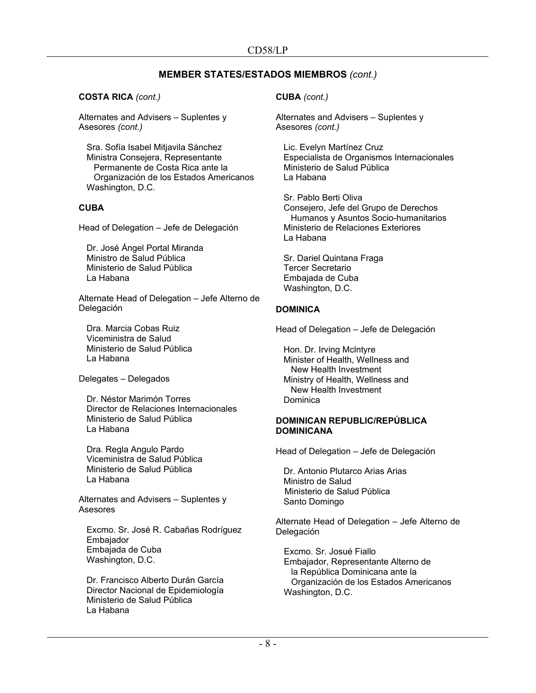## **COSTA RICA** *(cont.)*

Alternates and Advisers – Suplentes y Asesores *(cont.)*

Sra. Sofía Isabel Mitjavila Sánchez Ministra Consejera, Representante Permanente de Costa Rica ante la Organización de los Estados Americanos Washington, D.C.

# **CUBA**

Head of Delegation – Jefe de Delegación

Dr. José Ángel Portal Miranda Ministro de Salud Pública Ministerio de Salud Pública La Habana

Alternate Head of Delegation – Jefe Alterno de Delegación

Dra. Marcia Cobas Ruiz Viceministra de Salud Ministerio de Salud Pública La Habana

Delegates – Delegados

Dr. Néstor Marimón Torres Director de Relaciones Internacionales Ministerio de Salud Pública La Habana

Dra. Regla Angulo Pardo Viceministra de Salud Pública Ministerio de Salud Pública La Habana

Alternates and Advisers – Suplentes y Asesores

Excmo. Sr. José R. Cabañas Rodríguez Embajador Embajada de Cuba Washington, D.C.

Dr. Francisco Alberto Durán García Director Nacional de Epidemiología Ministerio de Salud Pública La Habana

**CUBA** *(cont.)*

Alternates and Advisers – Suplentes y Asesores *(cont.)*

Lic. Evelyn Martínez Cruz Especialista de Organismos Internacionales Ministerio de Salud Pública La Habana

Sr. Pablo Berti Oliva Consejero, Jefe del Grupo de Derechos Humanos y Asuntos Socio-humanitarios Ministerio de Relaciones Exteriores La Habana

Sr. Dariel Quintana Fraga Tercer Secretario Embajada de Cuba Washington, D.C.

# **DOMINICA**

Head of Delegation – Jefe de Delegación

Hon. Dr. Irving Mclntyre Minister of Health, Wellness and New Health Investment Ministry of Health, Wellness and New Health Investment Dominica

#### **DOMINICAN REPUBLIC/REPÚBLICA DOMINICANA**

Head of Delegation – Jefe de Delegación

Dr. Antonio Plutarco Arias Arias Ministro de Salud Ministerio de Salud Pública Santo Domingo

Alternate Head of Delegation – Jefe Alterno de Delegación

Excmo. Sr. Josué Fiallo Embajador, Representante Alterno de la República Dominicana ante la Organización de los Estados Americanos Washington, D.C.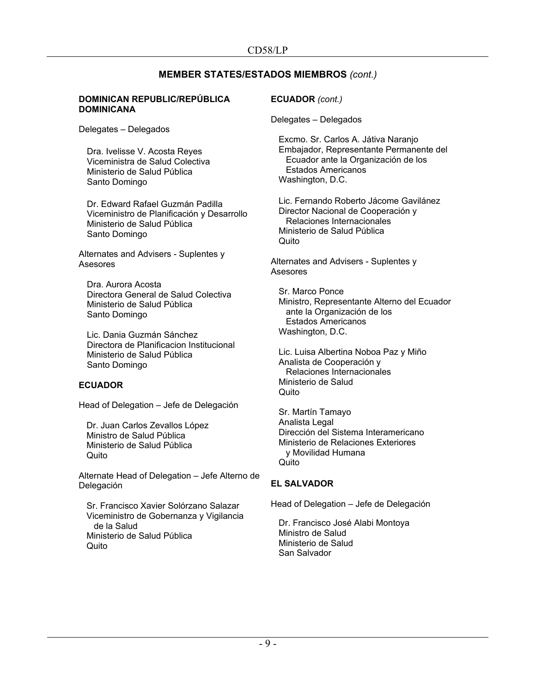#### **DOMINICAN REPUBLIC/REPÚBLICA DOMINICANA**

Delegates – Delegados

Dra. Ivelisse V. Acosta Reyes Viceministra de Salud Colectiva Ministerio de Salud Pública Santo Domingo

Dr. Edward Rafael Guzmán Padilla Viceministro de Planificación y Desarrollo Ministerio de Salud Pública Santo Domingo

Alternates and Advisers - Suplentes y Asesores

Dra. Aurora Acosta Directora General de Salud Colectiva Ministerio de Salud Pública Santo Domingo

Lic. Dania Guzmán Sánchez Directora de Planificacion Institucional Ministerio de Salud Pública Santo Domingo

# **ECUADOR**

Head of Delegation – Jefe de Delegación

Dr. Juan Carlos Zevallos López Ministro de Salud Pública Ministerio de Salud Pública Quito

Alternate Head of Delegation – Jefe Alterno de Delegación

Sr. Francisco Xavier Solórzano Salazar Viceministro de Gobernanza y Vigilancia de la Salud Ministerio de Salud Pública Quito

## **ECUADOR** *(cont.)*

Delegates – Delegados

Excmo. Sr. Carlos A. Játiva Naranjo Embajador, Representante Permanente del Ecuador ante la Organización de los Estados Americanos Washington, D.C.

Lic. Fernando Roberto Jácome Gavilánez Director Nacional de Cooperación y Relaciones Internacionales Ministerio de Salud Pública Quito

Alternates and Advisers - Suplentes y Asesores

Sr. Marco Ponce Ministro, Representante Alterno del Ecuador ante la Organización de los Estados Americanos Washington, D.C.

Lic. Luisa Albertina Noboa Paz y Miño Analista de Cooperación y Relaciones Internacionales Ministerio de Salud Quito

Sr. Martín Tamayo Analista Legal Dirección del Sistema Interamericano Ministerio de Relaciones Exteriores y Movilidad Humana Quito

# **EL SALVADOR**

Head of Delegation – Jefe de Delegación

Dr. Francisco José Alabi Montoya Ministro de Salud Ministerio de Salud San Salvador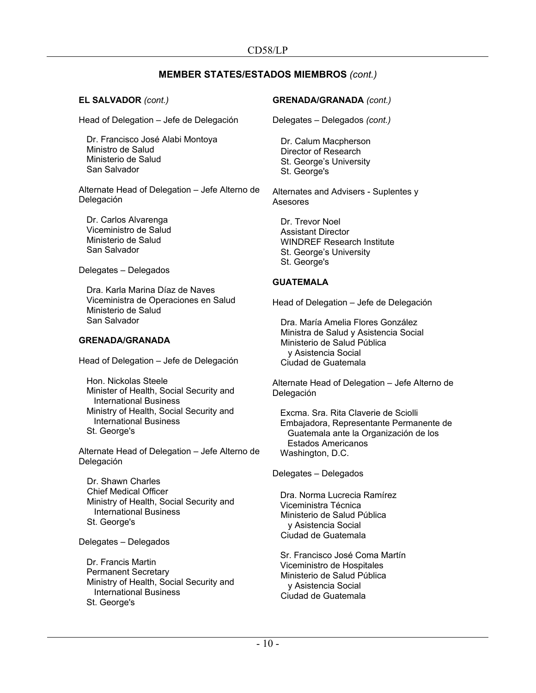**EL SALVADOR** *(cont.)*

Head of Delegation – Jefe de Delegación

Dr. Francisco José Alabi Montoya Ministro de Salud Ministerio de Salud San Salvador

Alternate Head of Delegation – Jefe Alterno de Delegación

Dr. Carlos Alvarenga Viceministro de Salud Ministerio de Salud San Salvador

Delegates – Delegados

Dra. Karla Marina Díaz de Naves Viceministra de Operaciones en Salud Ministerio de Salud San Salvador

#### **GRENADA/GRANADA**

Head of Delegation – Jefe de Delegación

Hon. Nickolas Steele Minister of Health, Social Security and International Business Ministry of Health, Social Security and International Business St. George's

Alternate Head of Delegation – Jefe Alterno de Delegación

Dr. Shawn Charles Chief Medical Officer Ministry of Health, Social Security and International Business St. George's

Delegates – Delegados

Dr. Francis Martin Permanent Secretary Ministry of Health, Social Security and International Business St. George's

## **GRENADA/GRANADA** *(cont.)*

Delegates – Delegados *(cont.)*

Dr. Calum Macpherson Director of Research St. George's University St. George's

Alternates and Advisers - Suplentes y Asesores

Dr. Trevor Noel Assistant Director WINDREF Research Institute St. George's University St. George's

## **GUATEMALA**

Head of Delegation – Jefe de Delegación

Dra. María Amelia Flores González Ministra de Salud y Asistencia Social Ministerio de Salud Pública y Asistencia Social Ciudad de Guatemala

Alternate Head of Delegation – Jefe Alterno de Delegación

Excma. Sra. Rita Claverie de Sciolli Embajadora, Representante Permanente de Guatemala ante la Organización de los Estados Americanos Washington, D.C.

Delegates – Delegados

Dra. Norma Lucrecia Ramírez Viceministra Técnica Ministerio de Salud Pública y Asistencia Social Ciudad de Guatemala

Sr. Francisco José Coma Martín Viceministro de Hospitales Ministerio de Salud Pública y Asistencia Social Ciudad de Guatemala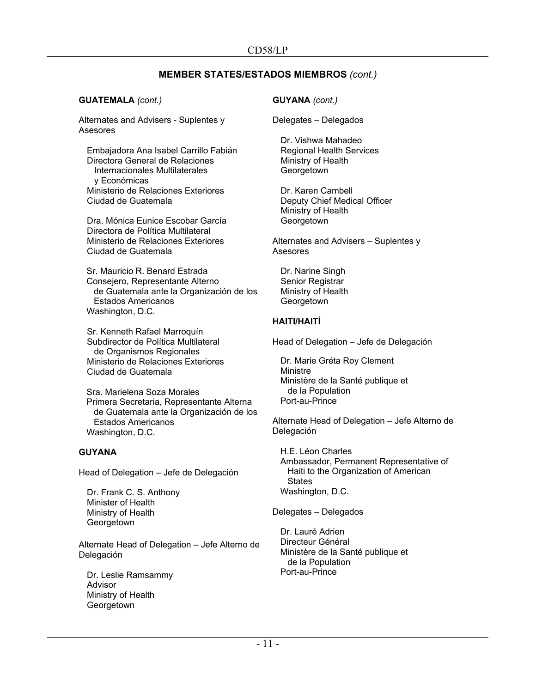#### **GUATEMALA** *(cont.)*

Alternates and Advisers - Suplentes y Asesores

Embajadora Ana Isabel Carrillo Fabián Directora General de Relaciones Internacionales Multilaterales y Económicas Ministerio de Relaciones Exteriores Ciudad de Guatemala

Dra. Mónica Eunice Escobar García Directora de Política Multilateral Ministerio de Relaciones Exteriores Ciudad de Guatemala

Sr. Mauricio R. Benard Estrada Consejero, Representante Alterno de Guatemala ante la Organización de los Estados Americanos Washington, D.C.

Sr. Kenneth Rafael Marroquín Subdirector de Política Multilateral de Organismos Regionales Ministerio de Relaciones Exteriores Ciudad de Guatemala

Sra. Marielena Soza Morales Primera Secretaria, Representante Alterna de Guatemala ante la Organización de los Estados Americanos Washington, D.C.

## **GUYANA**

Head of Delegation – Jefe de Delegación

Dr. Frank C. S. Anthony Minister of Health Ministry of Health **Georgetown** 

Alternate Head of Delegation – Jefe Alterno de Delegación

Dr. Leslie Ramsammy Advisor Ministry of Health Georgetown

## **GUYANA** *(cont.)*

Delegates – Delegados

Dr. Vishwa Mahadeo Regional Health Services Ministry of Health Georgetown

Dr. Karen Cambell Deputy Chief Medical Officer Ministry of Health **Georgetown** 

Alternates and Advisers – Suplentes y Asesores

Dr. Narine Singh Senior Registrar Ministry of Health **Georgetown** 

# **HAITI/HAITÍ**

Head of Delegation – Jefe de Delegación

Dr. Marie Gréta Roy Clement Ministre Ministère de la Santé publique et de la Population Port-au-Prince

Alternate Head of Delegation – Jefe Alterno de Delegación

H.E. Léon Charles Ambassador, Permanent Representative of Haiti to the Organization of American **States** Washington, D.C.

Delegates – Delegados

Dr. Lauré Adrien Directeur Général Ministère de la Santé publique et de la Population Port-au-Prince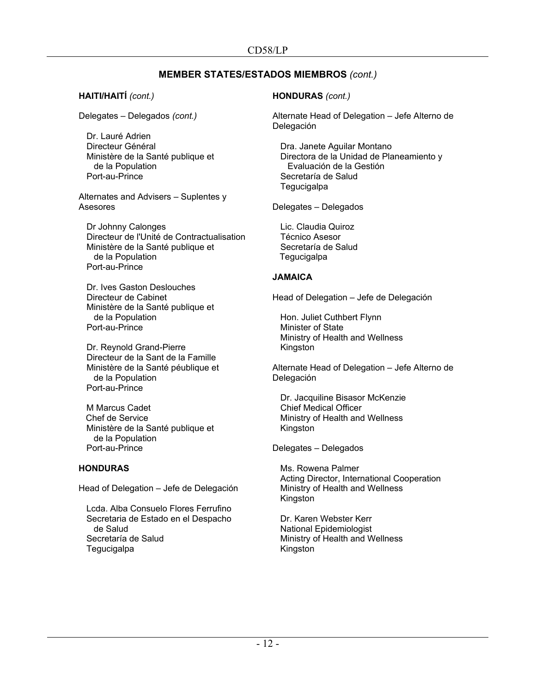## **HAITI/HAITÍ** *(cont.)*

Delegates – Delegados *(cont.)*

Dr. Lauré Adrien Directeur Général Ministère de la Santé publique et de la Population Port-au-Prince

Alternates and Advisers – Suplentes y Asesores

Dr Johnny Calonges Directeur de l'Unité de Contractualisation Ministère de la Santé publique et de la Population Port-au-Prince

Dr. Ives Gaston Deslouches Directeur de Cabinet Ministère de la Santé publique et de la Population Port-au-Prince

Dr. Reynold Grand-Pierre Directeur de la Sant de la Famille Ministère de la Santé péublique et de la Population Port-au-Prince

M Marcus Cadet Chef de Service Ministère de la Santé publique et de la Population Port-au-Prince

#### **HONDURAS**

Head of Delegation – Jefe de Delegación

Lcda. Alba Consuelo Flores Ferrufino Secretaria de Estado en el Despacho de Salud Secretaría de Salud **Tegucigalpa** 

## **HONDURAS** *(cont.)*

Alternate Head of Delegation – Jefe Alterno de Delegación

Dra. Janete Aguilar Montano Directora de la Unidad de Planeamiento y Evaluación de la Gestión Secretaría de Salud **Tegucigalpa** 

Delegates – Delegados

Lic. Claudia Quiroz Técnico Asesor Secretaría de Salud **Tegucigalpa** 

#### **JAMAICA**

Head of Delegation – Jefe de Delegación

Hon. Juliet Cuthbert Flynn Minister of State Ministry of Health and Wellness Kingston

Alternate Head of Delegation – Jefe Alterno de Delegación

Dr. Jacquiline Bisasor McKenzie Chief Medical Officer Ministry of Health and Wellness Kingston

Delegates – Delegados

Ms. Rowena Palmer Acting Director, International Cooperation Ministry of Health and Wellness Kingston

Dr. Karen Webster Kerr National Epidemiologist Ministry of Health and Wellness Kingston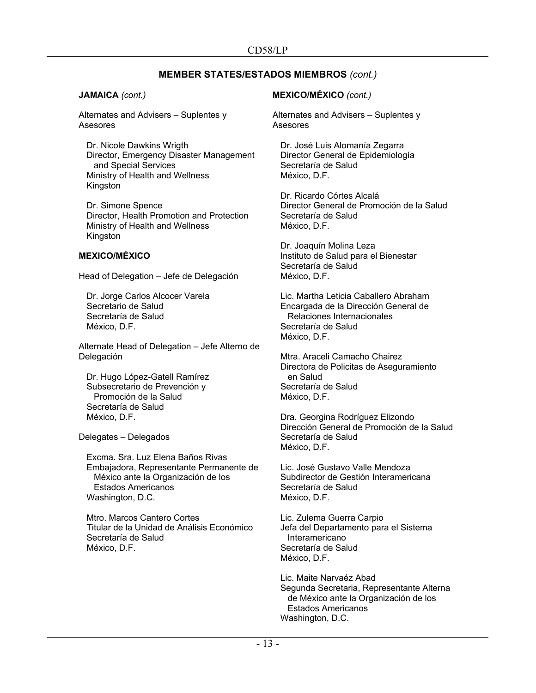#### **JAMAICA** *(cont.)*

Alternates and Advisers – Suplentes y Asesores

Dr. Nicole Dawkins Wrigth Director, Emergency Disaster Management and Special Services Ministry of Health and Wellness Kingston

Dr. Simone Spence Director, Health Promotion and Protection Ministry of Health and Wellness Kingston

# **MEXICO/MÉXICO**

Head of Delegation – Jefe de Delegación

Dr. Jorge Carlos Alcocer Varela Secretario de Salud Secretaría de Salud México, D.F.

Alternate Head of Delegation – Jefe Alterno de Delegación

Dr. Hugo López-Gatell Ramírez Subsecretario de Prevención y Promoción de la Salud Secretaría de Salud México, D.F.

Delegates – Delegados

Excma. Sra. Luz Elena Baños Rivas Embajadora, Representante Permanente de México ante la Organización de los Estados Americanos Washington, D.C.

Mtro. Marcos Cantero Cortes Titular de la Unidad de Análisis Económico Secretaría de Salud México, D.F.

#### **MEXICO/MÉXICO** *(cont.)*

Alternates and Advisers – Suplentes y Asesores

Dr. José Luis Alomanía Zegarra Director General de Epidemiología Secretaría de Salud México, D.F.

Dr. Ricardo Córtes Alcalá Director General de Promoción de la Salud Secretaría de Salud México, D.F.

Dr. Joaquín Molina Leza Instituto de Salud para el Bienestar Secretaría de Salud México, D.F.

Lic. Martha Leticia Caballero Abraham Encargada de la Dirección General de Relaciones Internacionales Secretaría de Salud México, D.F.

Mtra. Araceli Camacho Chairez Directora de Policitas de Aseguramiento en Salud Secretaría de Salud México, D.F.

Dra. Georgina Rodríguez Elizondo Dirección General de Promoción de la Salud Secretaría de Salud México, D.F.

Lic. José Gustavo Valle Mendoza Subdirector de Gestión Interamericana Secretaría de Salud México, D.F.

Lic. Zulema Guerra Carpio Jefa del Departamento para el Sistema Interamericano Secretaría de Salud México, D.F.

Lic. Maite Narvaéz Abad Segunda Secretaria, Representante Alterna de México ante la Organización de los Estados Americanos Washington, D.C.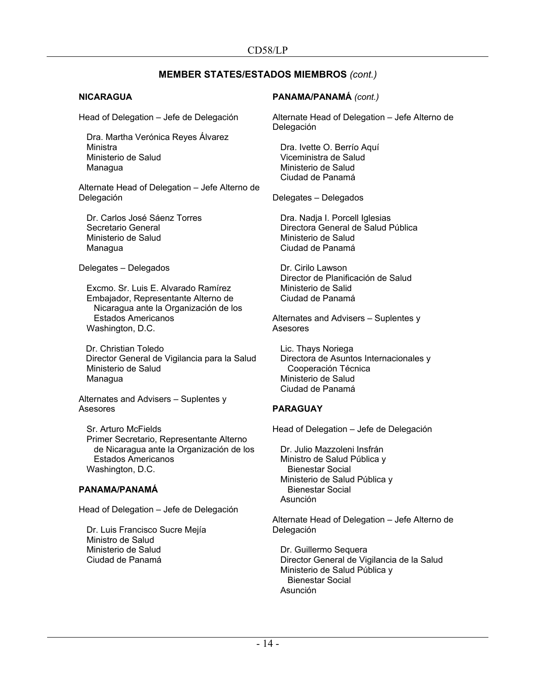#### **NICARAGUA**

Head of Delegation – Jefe de Delegación

Dra. Martha Verónica Reyes Álvarez Ministra Ministerio de Salud Managua

Alternate Head of Delegation – Jefe Alterno de Delegación

Dr. Carlos José Sáenz Torres Secretario General Ministerio de Salud **Managua** 

Delegates – Delegados

Excmo. Sr. Luis E. Alvarado Ramírez Embajador, Representante Alterno de Nicaragua ante la Organización de los Estados Americanos Washington, D.C.

Dr. Christian Toledo Director General de Vigilancia para la Salud Ministerio de Salud Managua

Alternates and Advisers – Suplentes y Asesores

Sr. Arturo McFields Primer Secretario, Representante Alterno de Nicaragua ante la Organización de los Estados Americanos Washington, D.C.

#### **PANAMA/PANAMÁ**

Head of Delegation – Jefe de Delegación

Dr. Luis Francisco Sucre Mejía Ministro de Salud Ministerio de Salud Ciudad de Panamá

## **PANAMA/PANAMÁ** *(cont.)*

Alternate Head of Delegation – Jefe Alterno de Delegación

Dra. Ivette O. Berrío Aquí Viceministra de Salud Ministerio de Salud Ciudad de Panamá

Delegates – Delegados

Dra. Nadja I. Porcell Iglesias Directora General de Salud Pública Ministerio de Salud Ciudad de Panamá

Dr. Cirilo Lawson Director de Planificación de Salud Ministerio de Salid Ciudad de Panamá

Alternates and Advisers – Suplentes y Asesores

Lic. Thays Noriega Directora de Asuntos Internacionales y Cooperación Técnica Ministerio de Salud Ciudad de Panamá

#### **PARAGUAY**

Head of Delegation – Jefe de Delegación

Dr. Julio Mazzoleni Insfrán Ministro de Salud Pública y Bienestar Social Ministerio de Salud Pública y Bienestar Social Asunción

Alternate Head of Delegation – Jefe Alterno de Delegación

Dr. Guillermo Sequera Director General de Vigilancia de la Salud Ministerio de Salud Pública y Bienestar Social Asunción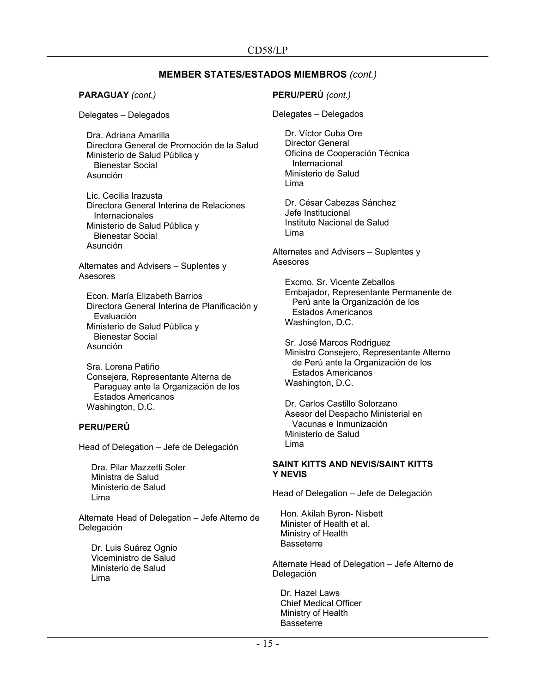**PARAGUAY** *(cont.)*

Delegates – Delegados

Dra. Adriana Amarilla Directora General de Promoción de la Salud Ministerio de Salud Pública y Bienestar Social Asunción

Lic. Cecilia Irazusta Directora General Interina de Relaciones Internacionales Ministerio de Salud Pública y Bienestar Social Asunción

Alternates and Advisers – Suplentes y Asesores

Econ. María Elizabeth Barrios Directora General Interina de Planificación y Evaluación Ministerio de Salud Pública y Bienestar Social Asunción

Sra. Lorena Patiño Consejera, Representante Alterna de Paraguay ante la Organización de los Estados Americanos Washington, D.C.

# **PERU/PERÚ**

Head of Delegation – Jefe de Delegación

Dra. Pilar Mazzetti Soler Ministra de Salud Ministerio de Salud Lima

Alternate Head of Delegation – Jefe Alterno de Delegación

Dr. Luis Suárez Ognio Viceministro de Salud Ministerio de Salud Lima

## **PERU/PERÚ** *(cont.)*

Delegates – Delegados

Dr. Víctor Cuba Ore Director General Oficina de Cooperación Técnica Internacional Ministerio de Salud Lima

Dr. César Cabezas Sánchez Jefe Institucional Instituto Nacional de Salud Lima

Alternates and Advisers – Suplentes y Asesores

Excmo. Sr. Vicente Zeballos Embajador, Representante Permanente de Perú ante la Organización de los Estados Americanos Washington, D.C.

Sr. José Marcos Rodriguez Ministro Consejero, Representante Alterno de Perú ante la Organización de los Estados Americanos Washington, D.C.

Dr. Carlos Castillo Solorzano Asesor del Despacho Ministerial en Vacunas e Inmunización Ministerio de Salud Lima

#### **SAINT KITTS AND NEVIS/SAINT KITTS Y NEVIS**

Head of Delegation – Jefe de Delegación

Hon. Akilah Byron- Nisbett Minister of Health et al. Ministry of Health **Basseterre** 

Alternate Head of Delegation – Jefe Alterno de Delegación

Dr. Hazel Laws Chief Medical Officer Ministry of Health **Basseterre**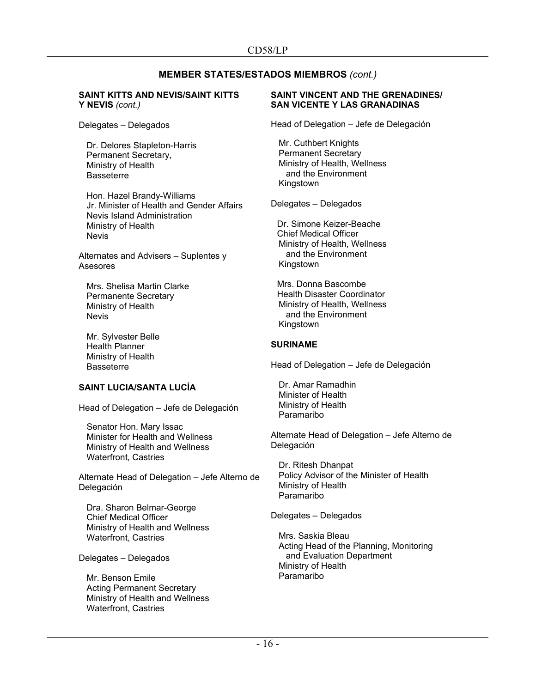#### **SAINT KITTS AND NEVIS/SAINT KITTS Y NEVIS** *(cont.)*

Delegates – Delegados

Dr. Delores Stapleton-Harris Permanent Secretary, Ministry of Health Basseterre

Hon. Hazel Brandy-Williams Jr. Minister of Health and Gender Affairs Nevis Island Administration Ministry of Health Nevis

Alternates and Advisers – Suplentes y Asesores

Mrs. Shelisa Martin Clarke Permanente Secretary Ministry of Health Nevis

Mr. Sylvester Belle Health Planner Ministry of Health **Basseterre** 

#### **SAINT LUCIA/SANTA LUCÍA**

Head of Delegation – Jefe de Delegación

Senator Hon. Mary Issac Minister for Health and Wellness Ministry of Health and Wellness Waterfront, Castries

Alternate Head of Delegation – Jefe Alterno de Delegación

Dra. Sharon Belmar-George Chief Medical Officer Ministry of Health and Wellness Waterfront, Castries

Delegates – Delegados

Mr. Benson Emile Acting Permanent Secretary Ministry of Health and Wellness Waterfront, Castries

#### **SAINT VINCENT AND THE GRENADINES/ SAN VICENTE Y LAS GRANADINAS**

Head of Delegation – Jefe de Delegación

Mr. Cuthbert Knights Permanent Secretary Ministry of Health, Wellness and the Environment Kingstown

Delegates – Delegados

Dr. Simone Keizer-Beache Chief Medical Officer Ministry of Health, Wellness and the Environment **Kingstown** 

Mrs. Donna Bascombe Health Disaster Coordinator Ministry of Health, Wellness and the Environment Kingstown

#### **SURINAME**

Head of Delegation – Jefe de Delegación

Dr. Amar Ramadhin Minister of Health Ministry of Health Paramaribo

Alternate Head of Delegation – Jefe Alterno de Delegación

Dr. Ritesh Dhanpat Policy Advisor of the Minister of Health Ministry of Health Paramaribo

Delegates – Delegados

Mrs. Saskia Bleau Acting Head of the Planning, Monitoring and Evaluation Department Ministry of Health Paramaribo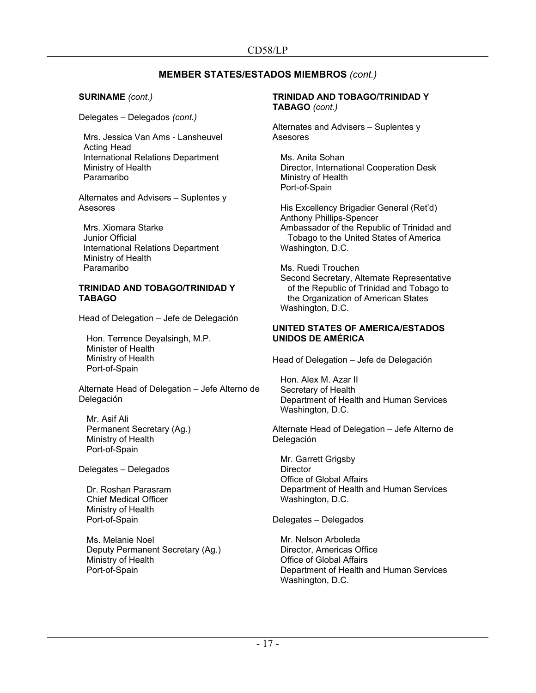#### **SURINAME** *(cont.)*

Delegates – Delegados *(cont.)*

Mrs. Jessica Van Ams - Lansheuvel Acting Head International Relations Department Ministry of Health Paramaribo

Alternates and Advisers – Suplentes y Asesores

Mrs. Xiomara Starke Junior Official International Relations Department Ministry of Health Paramaribo

#### **TRINIDAD AND TOBAGO/TRINIDAD Y TABAGO**

Head of Delegation – Jefe de Delegación

Hon. Terrence Deyalsingh, M.P. Minister of Health Ministry of Health Port-of-Spain

Alternate Head of Delegation – Jefe Alterno de Delegación

Mr. Asif Ali Permanent Secretary (Ag.) Ministry of Health Port-of-Spain

Delegates – Delegados

Dr. Roshan Parasram Chief Medical Officer Ministry of Health Port-of-Spain

Ms. Melanie Noel Deputy Permanent Secretary (Ag.) Ministry of Health Port-of-Spain

## **TRINIDAD AND TOBAGO/TRINIDAD Y TABAGO** *(cont.)*

Alternates and Advisers – Suplentes y Asesores

Ms. Anita Sohan Director, International Cooperation Desk Ministry of Health Port-of-Spain

His Excellency Brigadier General (Ret'd) Anthony Phillips-Spencer Ambassador of the Republic of Trinidad and Tobago to the United States of America Washington, D.C.

Ms. Ruedi Trouchen Second Secretary, Alternate Representative of the Republic of Trinidad and Tobago to the Organization of American States Washington, D.C.

#### **UNITED STATES OF AMERICA/ESTADOS UNIDOS DE AMÉRICA**

Head of Delegation – Jefe de Delegación

Hon. Alex M. Azar II Secretary of Health Department of Health and Human Services Washington, D.C.

Alternate Head of Delegation – Jefe Alterno de Delegación

Mr. Garrett Grigsby **Director** Office of Global Affairs Department of Health and Human Services Washington, D.C.

Delegates – Delegados

Mr. Nelson Arboleda Director, Americas Office Office of Global Affairs Department of Health and Human Services Washington, D.C.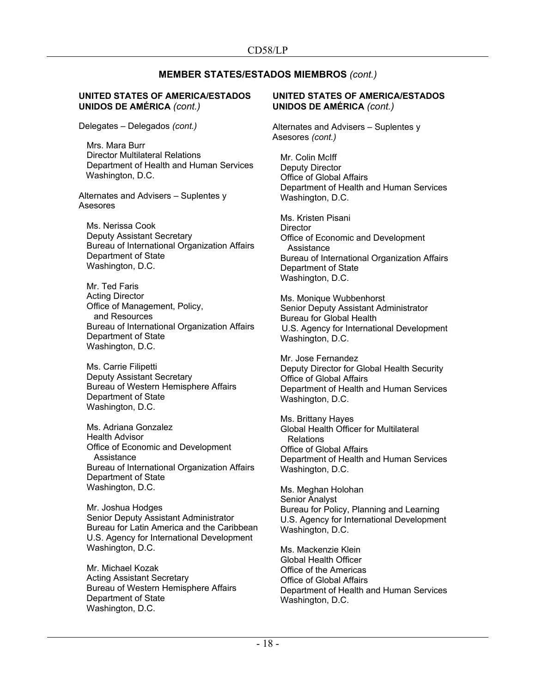## **UNITED STATES OF AMERICA/ESTADOS UNIDOS DE AMÉRICA** *(cont.)*

Delegates – Delegados *(cont.)*

Mrs. Mara Burr Director Multilateral Relations Department of Health and Human Services Washington, D.C.

Alternates and Advisers – Suplentes y Asesores

Ms. Nerissa Cook Deputy Assistant Secretary Bureau of International Organization Affairs Department of State Washington, D.C.

Mr. Ted Faris Acting Director Office of Management, Policy, and Resources Bureau of International Organization Affairs Department of State Washington, D.C.

Ms. Carrie Filipetti Deputy Assistant Secretary Bureau of Western Hemisphere Affairs Department of State Washington, D.C.

Ms. Adriana Gonzalez Health Advisor Office of Economic and Development **Assistance** Bureau of International Organization Affairs Department of State Washington, D.C.

Mr. Joshua Hodges Senior Deputy Assistant Administrator Bureau for Latin America and the Caribbean U.S. Agency for International Development Washington, D.C.

Mr. Michael Kozak Acting Assistant Secretary Bureau of Western Hemisphere Affairs Department of State Washington, D.C.

## **UNITED STATES OF AMERICA/ESTADOS UNIDOS DE AMÉRICA** *(cont.)*

Alternates and Advisers – Suplentes y Asesores *(cont.)*

Mr. Colin McIff Deputy Director Office of Global Affairs Department of Health and Human Services Washington, D.C.

Ms. Kristen Pisani **Director** Office of Economic and Development **Assistance** Bureau of International Organization Affairs Department of State Washington, D.C.

Ms. Monique Wubbenhorst Senior Deputy Assistant Administrator Bureau for Global Health U.S. Agency for International Development Washington, D.C.

Mr. Jose Fernandez Deputy Director for Global Health Security Office of Global Affairs Department of Health and Human Services Washington, D.C.

Ms. Brittany Hayes Global Health Officer for Multilateral Relations Office of Global Affairs Department of Health and Human Services Washington, D.C.

Ms. Meghan Holohan Senior Analyst Bureau for Policy, Planning and Learning U.S. Agency for International Development Washington, D.C.

Ms. Mackenzie Klein Global Health Officer Office of the Americas Office of Global Affairs Department of Health and Human Services Washington, D.C.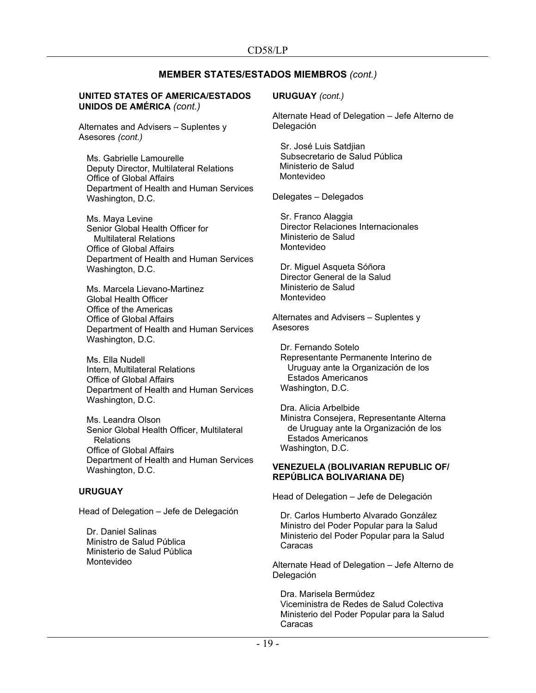## **UNITED STATES OF AMERICA/ESTADOS UNIDOS DE AMÉRICA** *(cont.)*

Alternates and Advisers – Suplentes y Asesores *(cont.)*

Ms. Gabrielle Lamourelle Deputy Director, Multilateral Relations Office of Global Affairs Department of Health and Human Services Washington, D.C.

Ms. Maya Levine Senior Global Health Officer for Multilateral Relations Office of Global Affairs Department of Health and Human Services Washington, D.C.

Ms. Marcela Lievano-Martinez Global Health Officer Office of the Americas Office of Global Affairs Department of Health and Human Services Washington, D.C.

Ms. Ella Nudell Intern, Multilateral Relations Office of Global Affairs Department of Health and Human Services Washington, D.C.

Ms. Leandra Olson Senior Global Health Officer, Multilateral Relations Office of Global Affairs Department of Health and Human Services Washington, D.C.

#### **URUGUAY**

Head of Delegation – Jefe de Delegación

Dr. Daniel Salinas Ministro de Salud Pública Ministerio de Salud Pública Montevideo

#### **URUGUAY** *(cont.)*

Alternate Head of Delegation – Jefe Alterno de Delegación

Sr. José Luis Satdjian Subsecretario de Salud Pública Ministerio de Salud Montevideo

Delegates – Delegados

Sr. Franco Alaggia Director Relaciones Internacionales Ministerio de Salud Montevideo

Dr. Miguel Asqueta Sóñora Director General de la Salud Ministerio de Salud Montevideo

Alternates and Advisers – Suplentes y Asesores

Dr. Fernando Sotelo Representante Permanente Interino de Uruguay ante la Organización de los Estados Americanos Washington, D.C.

Dra. Alicia Arbelbide Ministra Consejera, Representante Alterna de Uruguay ante la Organización de los Estados Americanos Washington, D.C.

#### **VENEZUELA (BOLIVARIAN REPUBLIC OF/ REPÚBLICA BOLIVARIANA DE)**

Head of Delegation – Jefe de Delegación

Dr. Carlos Humberto Alvarado González Ministro del Poder Popular para la Salud Ministerio del Poder Popular para la Salud Caracas

Alternate Head of Delegation – Jefe Alterno de Delegación

Dra. Marisela Bermúdez Viceministra de Redes de Salud Colectiva Ministerio del Poder Popular para la Salud Caracas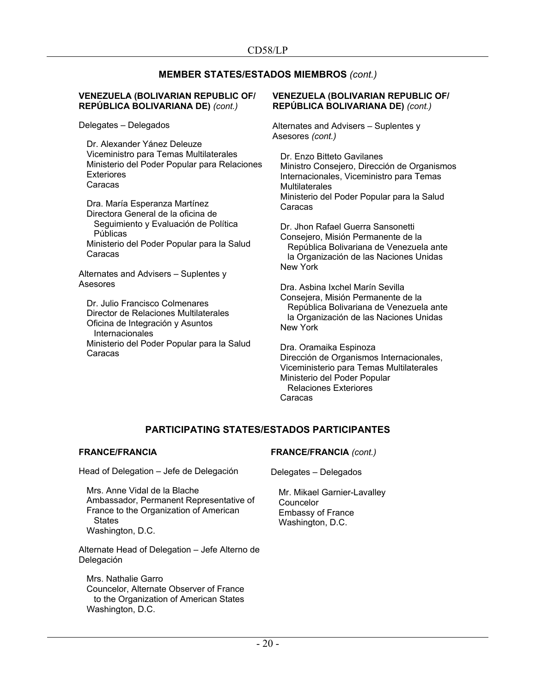#### **VENEZUELA (BOLIVARIAN REPUBLIC OF/ REPÚBLICA BOLIVARIANA DE)** *(cont.)*

Delegates – Delegados

Dr. Alexander Yánez Deleuze Viceministro para Temas Multilaterales Ministerio del Poder Popular para Relaciones Exteriores Caracas

Dra. María Esperanza Martínez Directora General de la oficina de Seguimiento y Evaluación de Política Públicas Ministerio del Poder Popular para la Salud Caracas

Alternates and Advisers – Suplentes y Asesores

Dr. Julio Francisco Colmenares Director de Relaciones Multilaterales Oficina de Integración y Asuntos **Internacionales** Ministerio del Poder Popular para la Salud Caracas

#### **VENEZUELA (BOLIVARIAN REPUBLIC OF/ REPÚBLICA BOLIVARIANA DE)** *(cont.)*

Alternates and Advisers – Suplentes y Asesores *(cont.)*

Dr. Enzo Bitteto Gavilanes Ministro Consejero, Dirección de Organismos Internacionales, Viceministro para Temas **Multilaterales** Ministerio del Poder Popular para la Salud Caracas

Dr. Jhon Rafael Guerra Sansonetti Consejero, Misión Permanente de la República Bolivariana de Venezuela ante la Organización de las Naciones Unidas New York

Dra. Asbina Ixchel Marín Sevilla Consejera, Misión Permanente de la República Bolivariana de Venezuela ante la Organización de las Naciones Unidas New York

Dra. Oramaika Espinoza Dirección de Organismos Internacionales, Viceministerio para Temas Multilaterales Ministerio del Poder Popular Relaciones Exteriores Caracas

# **PARTICIPATING STATES/ESTADOS PARTICIPANTES**

## **FRANCE/FRANCIA**

Head of Delegation – Jefe de Delegación

Mrs. Anne Vidal de la Blache Ambassador, Permanent Representative of France to the Organization of American **States** Washington, D.C.

Alternate Head of Delegation – Jefe Alterno de **Delegación** 

Mrs. Nathalie Garro Councelor, Alternate Observer of France to the Organization of American States Washington, D.C.

# **FRANCE/FRANCIA** *(cont.)*

Delegates – Delegados

Mr. Mikael Garnier-Lavalley Councelor Embassy of France Washington, D.C.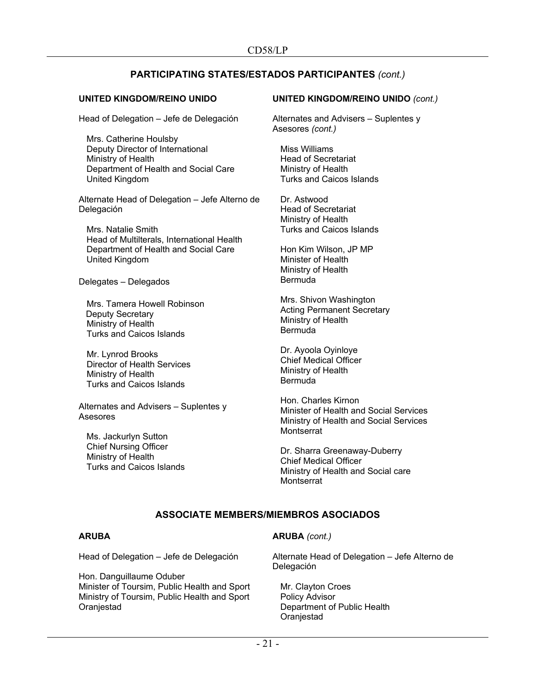# **PARTICIPATING STATES/ESTADOS PARTICIPANTES** *(cont.)*

## **UNITED KINGDOM/REINO UNIDO**

Head of Delegation – Jefe de Delegación

Mrs. Catherine Houlsby Deputy Director of International Ministry of Health Department of Health and Social Care United Kingdom

Alternate Head of Delegation – Jefe Alterno de Delegación

Mrs. Natalie Smith Head of Multilterals, International Health Department of Health and Social Care United Kingdom

Delegates – Delegados

Mrs. Tamera Howell Robinson Deputy Secretary Ministry of Health Turks and Caicos Islands

Mr. Lynrod Brooks Director of Health Services Ministry of Health Turks and Caicos Islands

Alternates and Advisers – Suplentes y Asesores

Ms. Jackurlyn Sutton Chief Nursing Officer Ministry of Health Turks and Caicos Islands

#### **UNITED KINGDOM/REINO UNIDO** *(cont.)*

Alternates and Advisers – Suplentes y Asesores *(cont.)*

Miss Williams Head of Secretariat Ministry of Health Turks and Caicos Islands

Dr. Astwood Head of Secretariat Ministry of Health Turks and Caicos Islands

Hon Kim Wilson, JP MP Minister of Health Ministry of Health Bermuda

Mrs. Shivon Washington Acting Permanent Secretary Ministry of Health Bermuda

Dr. Ayoola Oyinloye Chief Medical Officer Ministry of Health Bermuda

Hon. Charles Kirnon Minister of Health and Social Services Ministry of Health and Social Services **Montserrat** 

Dr. Sharra Greenaway-Duberry Chief Medical Officer Ministry of Health and Social care **Montserrat** 

# **ASSOCIATE MEMBERS/MIEMBROS ASOCIADOS**

#### **ARUBA**

Head of Delegation – Jefe de Delegación

Hon. Danguillaume Oduber Minister of Toursim, Public Health and Sport Ministry of Toursim, Public Health and Sport **Oranjestad** 

#### **ARUBA** *(cont.)*

Alternate Head of Delegation – Jefe Alterno de Delegación

Mr. Clayton Croes Policy Advisor Department of Public Health **Oranjestad**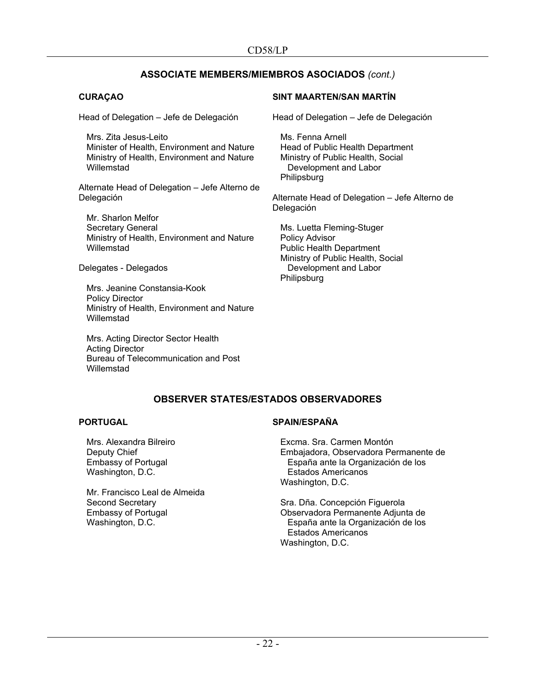# **ASSOCIATE MEMBERS/MIEMBROS ASOCIADOS** *(cont.)*

# **CURAÇAO**

Head of Delegation – Jefe de Delegación

Mrs. Zita Jesus-Leito Minister of Health, Environment and Nature Ministry of Health, Environment and Nature Willemstad

Alternate Head of Delegation – Jefe Alterno de Delegación

Mr. Sharlon Melfor Secretary General Ministry of Health, Environment and Nature Willemstad

Delegates - Delegados

Mrs. Jeanine Constansia-Kook Policy Director Ministry of Health, Environment and Nature **Willemstad** 

Mrs. Acting Director Sector Health Acting Director Bureau of Telecommunication and Post Willemstad

# **SINT MAARTEN/SAN MARTÍN**

Head of Delegation – Jefe de Delegación

Ms. Fenna Arnell Head of Public Health Department Ministry of Public Health, Social Development and Labor **Philipsburg** 

Alternate Head of Delegation – Jefe Alterno de Delegación

Ms. Luetta Fleming-Stuger Policy Advisor Public Health Department Ministry of Public Health, Social Development and Labor **Philipsburg** 

# **OBSERVER STATES/ESTADOS OBSERVADORES**

#### **PORTUGAL**

Mrs. Alexandra Bilreiro Deputy Chief Embassy of Portugal Washington, D.C.

Mr. Francisco Leal de Almeida Second Secretary Embassy of Portugal Washington, D.C.

# **SPAIN/ESPAÑA**

Excma. Sra. Carmen Montón Embajadora, Observadora Permanente de España ante la Organización de los Estados Americanos Washington, D.C.

Sra. Dña. Concepción Figuerola Observadora Permanente Adjunta de España ante la Organización de los Estados Americanos Washington, D.C.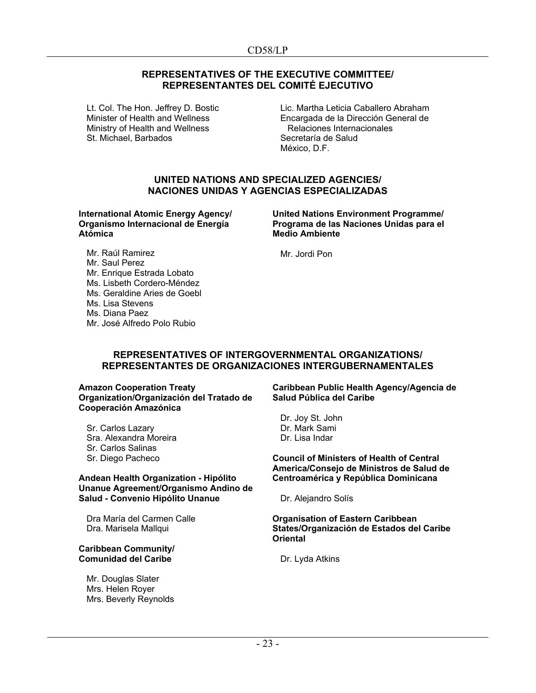## **REPRESENTATIVES OF THE EXECUTIVE COMMITTEE/ REPRESENTANTES DEL COMITÉ EJECUTIVO**

Lt. Col. The Hon. Jeffrey D. Bostic Minister of Health and Wellness Ministry of Health and Wellness St. Michael, Barbados

Lic. Martha Leticia Caballero Abraham Encargada de la Dirección General de Relaciones Internacionales Secretaría de Salud México, D.F.

## **UNITED NATIONS AND SPECIALIZED AGENCIES/ NACIONES UNIDAS Y AGENCIAS ESPECIALIZADAS**

**International Atomic Energy Agency/ Organismo Internacional de Energía Atómica**

**United Nations Environment Programme/ Programa de las Naciones Unidas para el Medio Ambiente**

Mr. Raúl Ramirez Mr. Saul Perez Mr. Enrique Estrada Lobato Ms. Lisbeth Cordero-Méndez

- Ms. Geraldine Aries de Goebl
- Ms. Lisa Stevens
- Ms. Diana Paez
- Mr. José Alfredo Polo Rubio

Mr. Jordi Pon

#### **REPRESENTATIVES OF INTERGOVERNMENTAL ORGANIZATIONS/ REPRESENTANTES DE ORGANIZACIONES INTERGUBERNAMENTALES**

**Amazon Cooperation Treaty Organization/Organización del Tratado de Cooperación Amazónica**

Sr. Carlos Lazary Sra. Alexandra Moreira Sr. Carlos Salinas Sr. Diego Pacheco

#### **Andean Health Organization - Hipólito Unanue Agreement/Organismo Andino de Salud - Convenio Hipólito Unanue**

Dra María del Carmen Calle Dra. Marisela Mallqui

#### **Caribbean Community/ Comunidad del Caribe**

Mr. Douglas Slater Mrs. Helen Royer Mrs. Beverly Reynolds **Caribbean Public Health Agency/Agencia de Salud Pública del Caribe**

Dr. Joy St. John Dr. Mark Sami Dr. Lisa Indar

**Council of Ministers of Health of Central America/Consejo de Ministros de Salud de Centroamérica y República Dominicana**

Dr. Alejandro Solís

#### **Organisation of Eastern Caribbean States/Organización de Estados del Caribe Oriental**

Dr. Lyda Atkins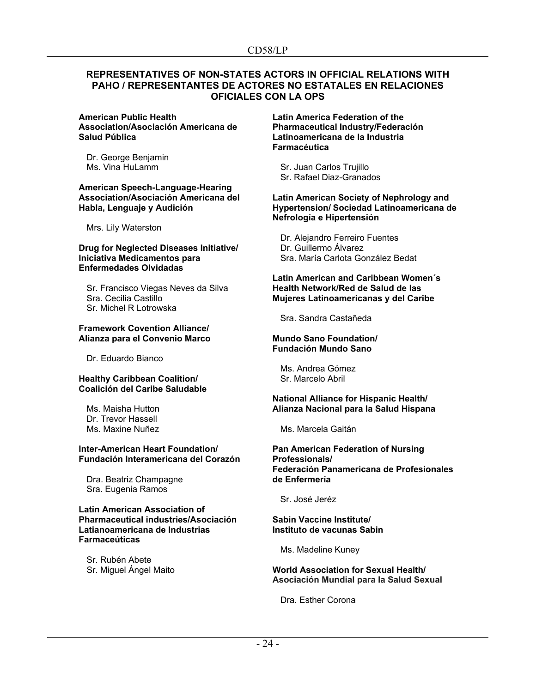## **REPRESENTATIVES OF NON-STATES ACTORS IN OFFICIAL RELATIONS WITH PAHO / REPRESENTANTES DE ACTORES NO ESTATALES EN RELACIONES OFICIALES CON LA OPS**

#### **American Public Health Association/Asociación Americana de Salud Pública**

Dr. George Benjamin Ms. Vina HuLamm

#### **American Speech-Language-Hearing Association/Asociación Americana del Habla, Lenguaje y Audición**

Mrs. Lily Waterston

#### **Drug for Neglected Diseases Initiative/ Iniciativa Medicamentos para Enfermedades Olvidadas**

Sr. Francisco Viegas Neves da Silva Sra. Cecilia Castillo Sr. Michel R Lotrowska

#### **Framework Covention Alliance/ Alianza para el Convenio Marco**

Dr. Eduardo Bianco

#### **Healthy Caribbean Coalition/ Coalición del Caribe Saludable**

Ms. Maisha Hutton Dr. Trevor Hassell Ms. Maxine Nuñez

#### **Inter-American Heart Foundation/ Fundación Interamericana del Corazón**

Dra. Beatriz Champagne Sra. Eugenia Ramos

#### **Latin American Association of Pharmaceutical industries/Asociación Latianoamericana de Industrias Farmaceúticas**

Sr. Rubén Abete Sr. Miguel Ángel Maito **Latin America Federation of the Pharmaceutical Industry/Federación Latinoamericana de la Industria Farmacéutica**

Sr. Juan Carlos Trujillo Sr. Rafael Diaz-Granados

#### **Latin American Society of Nephrology and Hypertension/ Sociedad Latinoamericana de Nefrología e Hipertensión**

Dr. Alejandro Ferreiro Fuentes Dr. Guillermo Álvarez Sra. María Carlota González Bedat

#### **Latin American and Caribbean Women´s Health Network/Red de Salud de las Mujeres Latinoamericanas y del Caribe**

Sra. Sandra Castañeda

#### **Mundo Sano Foundation/ Fundación Mundo Sano**

Ms. Andrea Gómez Sr. Marcelo Abril

#### **National Alliance for Hispanic Health/ Alianza Nacional para la Salud Hispana**

Ms. Marcela Gaitán

#### **Pan American Federation of Nursing Professionals/ Federación Panamericana de Profesionales de Enfermería**

Sr. José Jeréz

#### **Sabin Vaccine Institute/ Instituto de vacunas Sabin**

Ms. Madeline Kuney

#### **World Association for Sexual Health/ Asociación Mundial para la Salud Sexual**

Dra. Esther Corona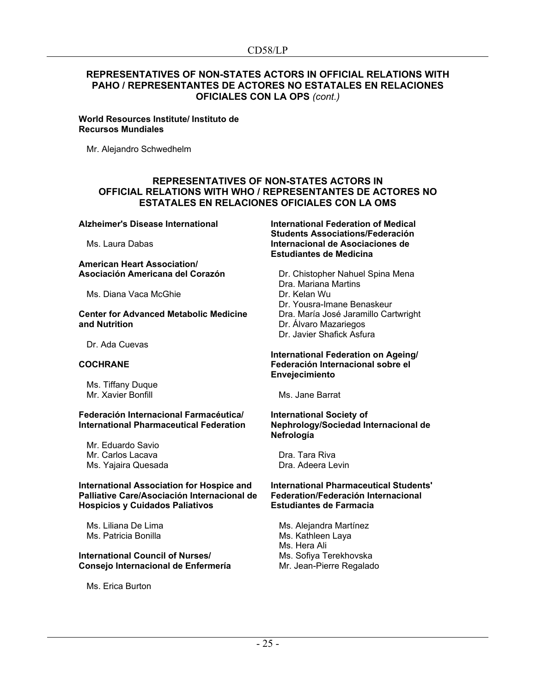# **REPRESENTATIVES OF NON-STATES ACTORS IN OFFICIAL RELATIONS WITH PAHO / REPRESENTANTES DE ACTORES NO ESTATALES EN RELACIONES OFICIALES CON LA OPS** *(cont.)*

**World Resources Institute/ Instituto de Recursos Mundiales**

Mr. Alejandro Schwedhelm

## **REPRESENTATIVES OF NON-STATES ACTORS IN OFFICIAL RELATIONS WITH WHO / REPRESENTANTES DE ACTORES NO ESTATALES EN RELACIONES OFICIALES CON LA OMS**

#### **Alzheimer's Disease International**

Ms. Laura Dabas

#### **American Heart Association/ Asociación Americana del Corazón**

Ms. Diana Vaca McGhie

#### **Center for Advanced Metabolic Medicine and Nutrition**

Dr. Ada Cuevas

#### **COCHRANE**

Ms. Tiffany Duque Mr. Xavier Bonfill

#### **Federación Internacional Farmacéutica/ International Pharmaceutical Federation**

Mr. Eduardo Savio Mr. Carlos Lacava Ms. Yajaira Quesada

#### **International Association for Hospice and Palliative Care/Asociación Internacional de Hospicios y Cuidados Paliativos**

Ms. Liliana De Lima Ms. Patricia Bonilla

#### **International Council of Nurses/ Consejo Internacional de Enfermería**

Ms. Erica Burton

**International Federation of Medical Students Associations/Federación Internacional de Asociaciones de Estudiantes de Medicina**

Dr. Chistopher Nahuel Spina Mena Dra. Mariana Martins Dr. Kelan Wu Dr. Yousra-Imane Benaskeur Dra. María José Jaramillo Cartwright Dr. Álvaro Mazariegos Dr. Javier Shafick Asfura

#### **International Federation on Ageing/ Federación Internacional sobre el Envejecimiento**

Ms. Jane Barrat

#### **International Society of Nephrology/Sociedad Internacional de Nefrología**

Dra. Tara Riva Dra. Adeera Levin

#### **International Pharmaceutical Students' Federation/Federación Internacional Estudiantes de Farmacia**

Ms. Alejandra Martínez Ms. Kathleen Laya Ms. Hera Ali Ms. Sofiya Terekhovska Mr. Jean-Pierre Regalado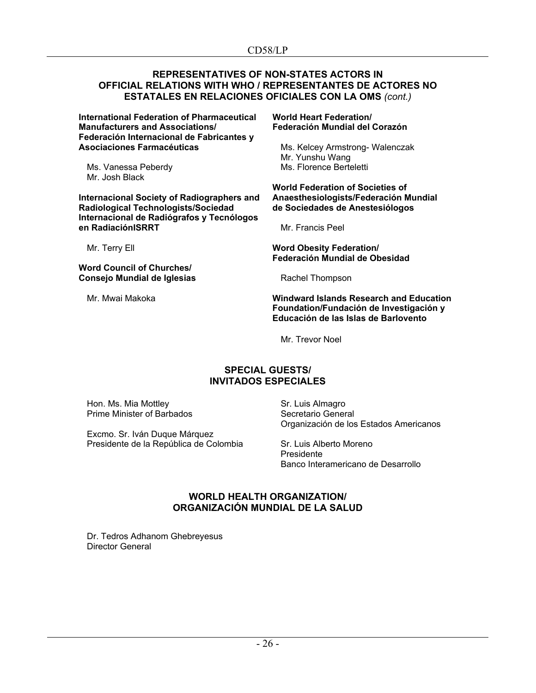## **REPRESENTATIVES OF NON-STATES ACTORS IN OFFICIAL RELATIONS WITH WHO / REPRESENTANTES DE ACTORES NO ESTATALES EN RELACIONES OFICIALES CON LA OMS** *(cont.)*

**International Federation of Pharmaceutical Manufacturers and Associations/ Federación Internacional de Fabricantes y Asociaciones Farmacéuticas**

Ms. Vanessa Peberdy Mr. Josh Black

**Internacional Society of Radiographers and Radiological Technologists/Sociedad Internacional de Radiógrafos y Tecnólogos en RadiaciónISRRT**

Mr. Terry Ell

**Word Council of Churches/ Consejo Mundial de Iglesias**

Mr. Mwai Makoka

#### **World Heart Federation/ Federación Mundial del Corazón**

Ms. Kelcey Armstrong- Walenczak Mr. Yunshu Wang Ms. Florence Berteletti

#### **World Federation of Societies of Anaesthesiologists/Federación Mundial de Sociedades de Anestesiólogos**

Mr. Francis Peel

**Word Obesity Federation/ Federación Mundial de Obesidad**

Rachel Thompson

#### **Windward Islands Research and Education Foundation/Fundación de Investigación y Educación de las Islas de Barlovento**

Mr. Trevor Noel

# **SPECIAL GUESTS/ INVITADOS ESPECIALES**

Hon. Ms. Mia Mottley Prime Minister of Barbados

Excmo. Sr. Iván Duque Márquez Presidente de la República de Colombia Sr. Luis Almagro Secretario General Organización de los Estados Americanos

Sr. Luis Alberto Moreno Presidente Banco Interamericano de Desarrollo

# **WORLD HEALTH ORGANIZATION/ ORGANIZACIÓN MUNDIAL DE LA SALUD**

Dr. Tedros Adhanom Ghebreyesus Director General